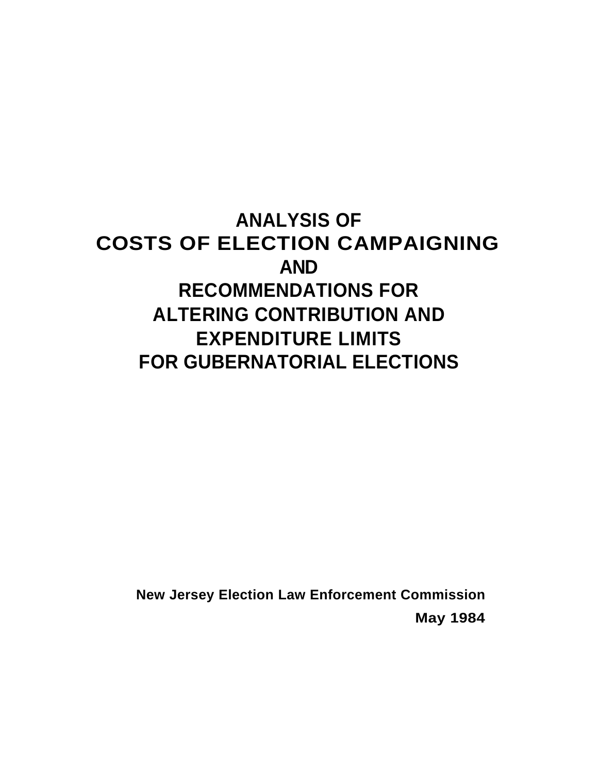# **ANALYSIS OF COSTS OF ELECTION CAMPAIGNING AND RECOMMENDATIONS FOR ALTERING CONTRIBUTION AND EXPENDITURE LIMITS FOR GUBERNATORIAL ELECTIONS**

**New Jersey Election Law Enforcement Commission May 1984**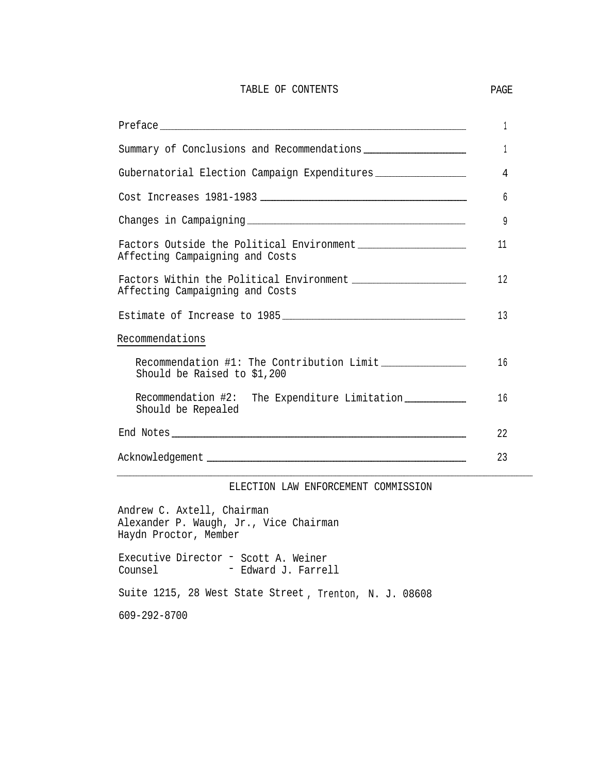#### TABLE OF CONTENTS PAGE

|                                                                                                                                        | 1  |
|----------------------------------------------------------------------------------------------------------------------------------------|----|
|                                                                                                                                        | 1  |
| Gubernatorial Election Campaign Expenditures ___________________________________                                                       | 4  |
|                                                                                                                                        | 6  |
|                                                                                                                                        | 9  |
| Factors Outside the Political Environment [100011] Factors Outside the Political Environment<br>Affecting Campaigning and Costs        | 11 |
| Factors Within the Political Environment [100011] Factors Within the Political Environment [100011]<br>Affecting Campaigning and Costs | 12 |
|                                                                                                                                        | 13 |
| Recommendations                                                                                                                        |    |
| Should be Raised to \$1,200                                                                                                            | 16 |
| Recommendation #2: The Expenditure Limitation [10001]<br>Should be Repealed                                                            | 16 |
|                                                                                                                                        | 22 |
|                                                                                                                                        | 23 |

#### ELECTION LAW ENFORCEMENT COMMISSION

Andrew C. Axtell, Chairman Alexander P. Waugh, Jr., Vice Chairman Haydn Proctor, Member

Executive Director - Scott A. Weiner<br>Counsel - Edward J. Farrel - Edward J. Farrell

Suite 1215, 28 West State Street , Trenton, N. J. 08608

609-292-8700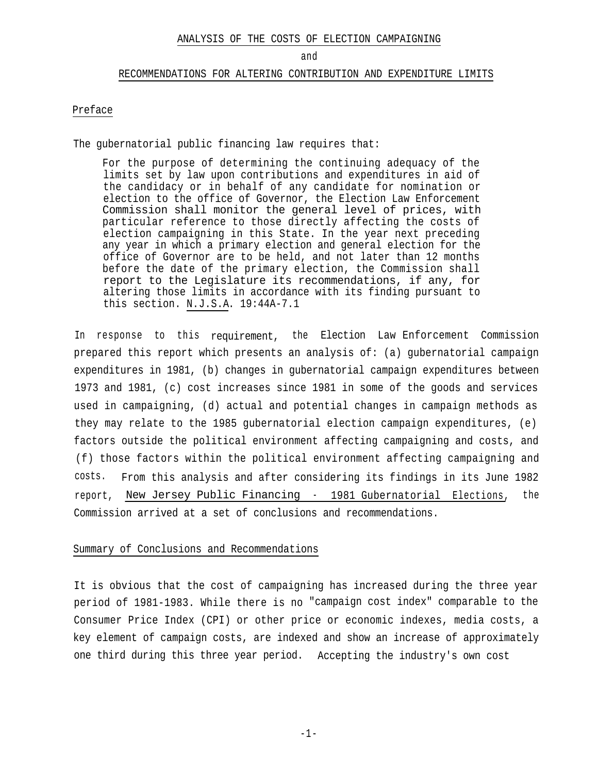#### ANALYSIS OF THE COSTS OF ELECTION CAMPAIGNING

#### and

#### RECOMMENDATIONS FOR ALTERING CONTRIBUTION AND EXPENDITURE LIMITS

#### Preface

The gubernatorial public financing law requires that:

For the purpose of determining the continuing adequacy of the limits set by law upon contributions and expenditures in aid of the candidacy or in behalf of any candidate for nomination or election to the office of Governor, the Election Law Enforcement Commission shall monitor the general level of prices, with particular reference to those directly affecting the costs of election campaigning in this State. In the year next preceding any year in which a primary election and general election for the office of Governor are to be held, and not later than 12 months before the date of the primary election, the Commission shall report to the Legislature its recommendations, if any, for altering those limits in accordance with its finding pursuant to this section. N.J.S.A. 19:44A-7.1

In response to this requirement, the Election Law Enforcement Commission prepared this report which presents an analysis of: (a) gubernatorial campaign expenditures in 1981, (b) changes in gubernatorial campaign expenditures between 1973 and 1981, (c) cost increases since 1981 in some of the goods and services used in campaigning, (d) actual and potential changes in campaign methods as they may relate to the 1985 gubernatorial election campaign expenditures, (e) factors outside the political environment affecting campaigning and costs, and (f) those factors within the political environment affecting campaigning and costs. From this analysis and after considering its findings in its June 1982 report, New Jersey Public Financing - 1981 Gubernatorial Elections, the Commission arrived at a set of conclusions and recommendations.

#### Summary of Conclusions and Recommendations

It is obvious that the cost of campaigning has increased during the three year period of 1981-1983. While there is no "campaign cost index" comparable to the Consumer Price Index (CPI) or other price or economic indexes, media costs, a key element of campaign costs, are indexed and show an increase of approximately one third during this three year period. Accepting the industry's own cost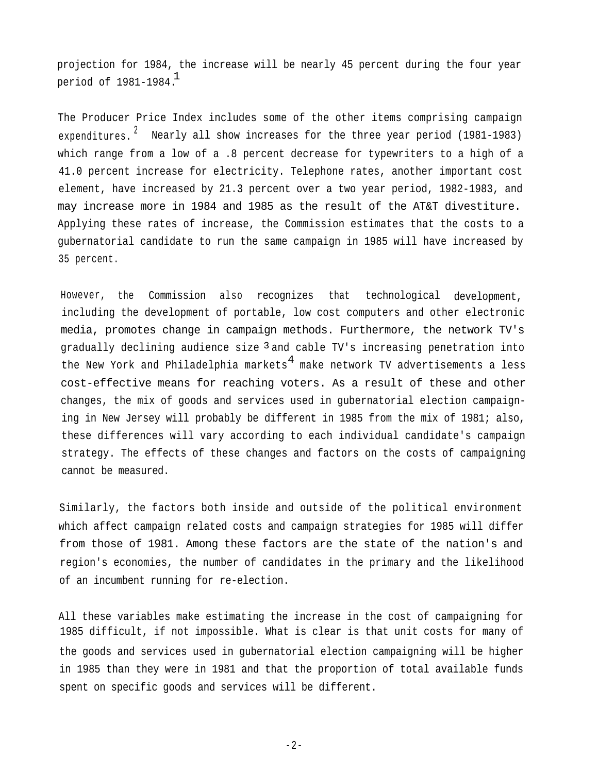projection for 1984, the increase will be nearly 45 percent during the four year period of 1981-1984. $^{\text{1}}$ 

The Producer Price Index includes some of the other items comprising campaign expenditures.  $\dot{\phantom{\phi}}$  Nearly all show increases for the three year period (1981-1983) which range from a low of a .8 percent decrease for typewriters to a high of a 41.0 percent increase for electricity. Telephone rates, another important cost element, have increased by 21.3 percent over a two year period, 1982-1983, and may increase more in 1984 and 1985 as the result of the AT&T divestiture. Applying these rates of increase, the Commission estimates that the costs to a gubernatorial candidate to run the same campaign in 1985 will have increased by 35 percent.

However, the Commission also recognizes that technological development, including the development of portable, low cost computers and other electronic media, promotes change in campaign methods. Furthermore, the network TV's gradually declining audience size  $^3$  and cable TV's increasing penetration into the New York and Philadelphia markets $^4$  make network TV advertisements a less cost-effective means for reaching voters. As a result of these and other changes, the mix of goods and services used in gubernatorial election campaigning in New Jersey will probably be different in 1985 from the mix of 1981; also, these differences will vary according to each individual candidate's campaign strategy. The effects of these changes and factors on the costs of campaigning cannot be measured.

Similarly, the factors both inside and outside of the political environment which affect campaign related costs and campaign strategies for 1985 will differ from those of 1981. Among these factors are the state of the nation's and region's economies, the number of candidates in the primary and the likelihood of an incumbent running for re-election.

All these variables make estimating the increase in the cost of campaigning for 1985 difficult, if not impossible. What is clear is that unit costs for many of the goods and services used in gubernatorial election campaigning will be higher in 1985 than they were in 1981 and that the proportion of total available funds spent on specific goods and services will be different.

-2-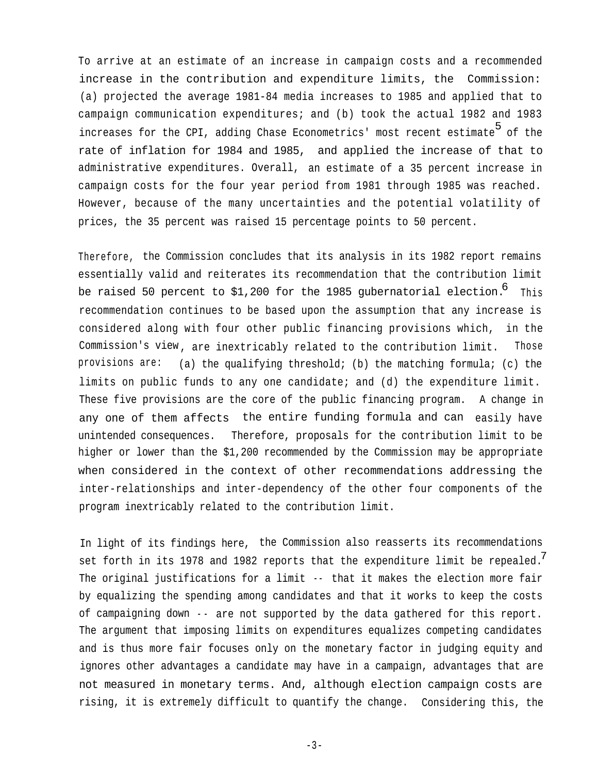To arrive at an estimate of an increase in campaign costs and a recommended increase in the contribution and expenditure limits, the Commission: (a) projected the average 1981-84 media increases to 1985 and applied that to campaign communication expenditures; and (b) took the actual 1982 and 1983 increases for the CPI, adding Chase Econometrics' most recent estimate 5 of the rate of inflation for 1984 and 1985, and applied the increase of that to administrative expenditures. Overall, an estimate of a 35 percent increase in campaign costs for the four year period from 1981 through 1985 was reached. However, because of the many uncertainties and the potential volatility of prices, the 35 percent was raised 15 percentage points to 50 percent.

Therefore, the Commission concludes that its analysis in its 1982 report remains essentially valid and reiterates its recommendation that the contribution limit be raised 50 percent to \$1,200 for the 1985 gubernatorial election.  $^6$  This recommendation continues to be based upon the assumption that any increase is considered along with four other public financing provisions which, in the Commission's view , are inextricably related to the contribution limit. Those provisions are: (a) the qualifying threshold; (b) the matching formula; (c) the limits on public funds to any one candidate; and (d) the expenditure limit. These five provisions are the core of the public financing program. A change in any one of them affects the entire funding formula and can easily have unintended consequences. Therefore, proposals for the contribution limit to be higher or lower than the \$1,200 recommended by the Commission may be appropriate when considered in the context of other recommendations addressing the inter-relationships and inter-dependency of the other four components of the program inextricably related to the contribution limit.

In light of its findings here, the Commission also reasserts its recommendations set forth in its 1978 and 1982 reports that the expenditure limit be repealed.<sup>7</sup> The original justifications for a limit -- that it makes the election more fair by equalizing the spending among candidates and that it works to keep the costs of campaigning down -- are not supported by the data gathered for this report. The argument that imposing limits on expenditures equalizes competing candidates and is thus more fair focuses only on the monetary factor in judging equity and ignores other advantages a candidate may have in a campaign, advantages that are not measured in monetary terms. And, although election campaign costs are rising, it is extremely difficult to quantify the change. Considering this, the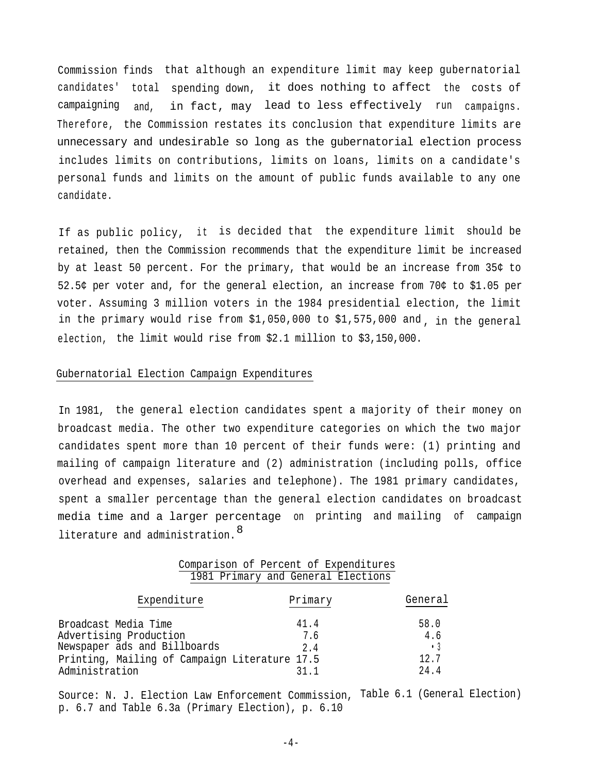Commission finds that although an expenditure limit may keep gubernatorial candidates' total spending down, it does nothing to affect the costs of campaigning <sub>and,</sub> in fact, may lead to less effectively run campaigns. Therefore, the Commission restates its conclusion that expenditure limits are unnecessary and undesirable so long as the gubernatorial election process includes limits on contributions, limits on loans, limits on a candidate's personal funds and limits on the amount of public funds available to any one candidate.

If as public policy, it is decided that the expenditure limit should be retained, then the Commission recommends that the expenditure limit be increased by at least 50 percent. For the primary, that would be an increase from 35¢ to 52.5¢ per voter and, for the general election, an increase from 70¢ to \$1.05 per voter. Assuming 3 million voters in the 1984 presidential election, the limit in the primary would rise from \$1,050,000 to \$1,575,000 and , in the general election, the limit would rise from \$2.1 million to \$3,150,000.

#### Gubernatorial Election Campaign Expenditures

In 1981, the general election candidates spent a majority of their money on broadcast media. The other two expenditure categories on which the two major candidates spent more than 10 percent of their funds were: (1) printing and mailing of campaign literature and (2) administration (including polls, office overhead and expenses, salaries and telephone). The 1981 primary candidates, spent a smaller percentage than the general election candidates on broadcast media time and a larger percentage on printing and mailing of campaign literature and administration.  $^8$ 

|  |  |  | Comparison of Percent of Expenditures |
|--|--|--|---------------------------------------|
|  |  |  | 1981 Primary and General Elections    |

| Expenditure                                   | Primary | General   |
|-----------------------------------------------|---------|-----------|
| Broadcast Media Time                          | 41.4    | 58.0      |
| Advertising Production                        | 7.6     | 4.6       |
| Newspaper ads and Billboards                  | 2.4     | $\cdot$ 3 |
| Printing, Mailing of Campaign Literature 17.5 |         | 12.7      |
| Administration                                | 21 1    | 24.4      |

Source: N. J. Election Law Enforcement Commission, Table 6.1 (General Election) p. 6.7 and Table 6.3a (Primary Election), p. 6.10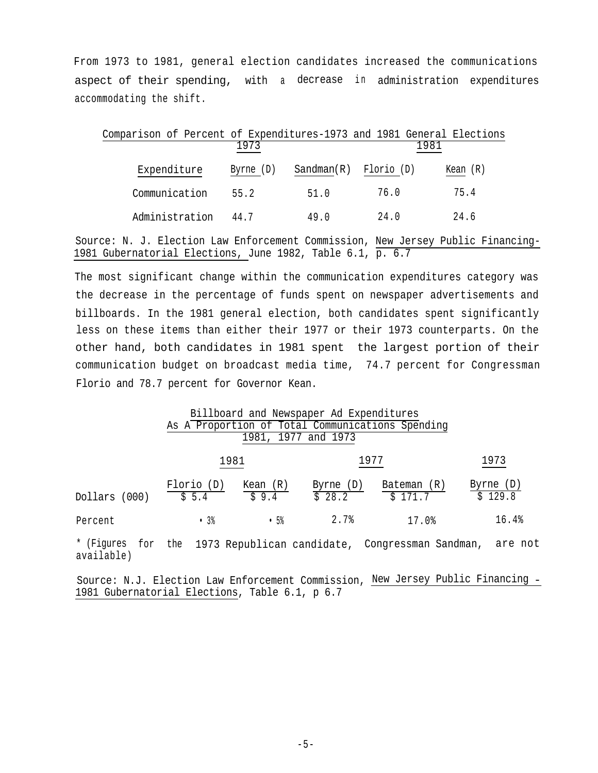From 1973 to 1981, general election candidates increased the communications aspect of their spending, with a decrease in administration expenditures accommodating the shift.

| Comparison of Percent of Expenditures-1973 and 1981 General Elections |           |            |            |          |
|-----------------------------------------------------------------------|-----------|------------|------------|----------|
|                                                                       | 1973      |            | 1981       |          |
| Expenditure                                                           | Byrne (D) | Sandman(R) | Florio (D) | Kean (R) |
| Communication                                                         | 55.2      | 51.0       | 76.0       | 75.4     |
| Administration                                                        | 44.7      | 49 0       | 24.0       | 24.6     |

Source: N. J. Election Law Enforcement Commission, New Jersey Public Financing-1981 Gubernatorial Elections, June 1982, Table 6.1, p. 6.7

The most significant change within the communication expenditures category was the decrease in the percentage of funds spent on newspaper advertisements and billboards. In the 1981 general election, both candidates spent significantly less on these items than either their 1977 or their 1973 counterparts. On the other hand, both candidates in 1981 spent the largest portion of their communication budget on broadcast media time, 74.7 percent for Congressman Florio and 78.7 percent for Governor Kean.

|                                                                    |                     |                     | Billboard and Newspaper Ad Expenditures<br>1981, 1977 and 1973 | As A Proportion of Total Communications Spending |                      |
|--------------------------------------------------------------------|---------------------|---------------------|----------------------------------------------------------------|--------------------------------------------------|----------------------|
|                                                                    | 1981                |                     |                                                                | 1977                                             | 1973                 |
| Dollars (000)                                                      | Florio (D)<br>\$5.4 | Kean $(R)$<br>\$9.4 | Byrne (D)<br>$\overline{5}$ 28.2                               | Bateman (R)<br>\$171.7                           | Byrne (D)<br>\$129.8 |
| Percent                                                            | .3%                 | .5%                 | 2.7%                                                           | 17.0%                                            | 16.4%                |
| * (Figures for the 1973 Republican candidate, Congressman Sandman, |                     |                     |                                                                |                                                  | are not              |

available)

Source: N.J. Election Law Enforcement Commission, New Jersey Public Financing - 1981 Gubernatorial Elections, Table 6.1, p 6.7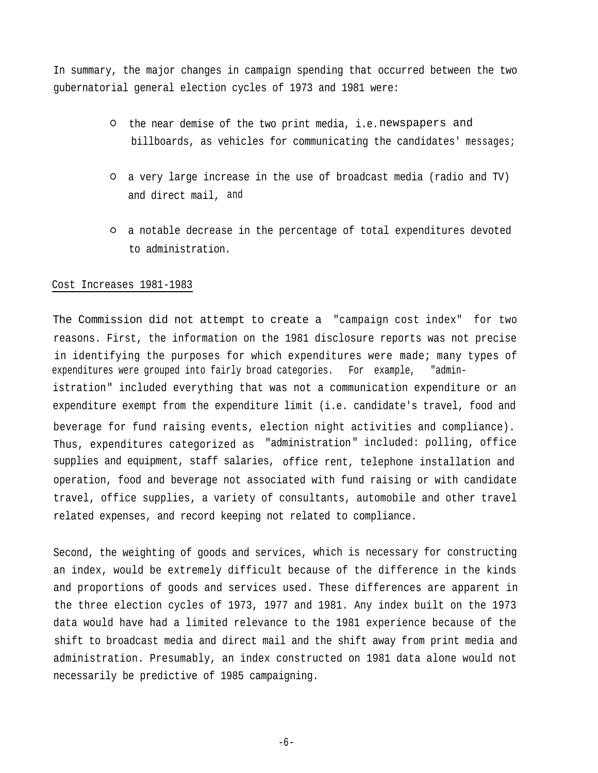In summary, the major changes in campaign spending that occurred between the two gubernatorial general election cycles of 1973 and 1981 were:

- O the near demise of the two print media, i.e.newspapers and billboards, as vehicles for communicating the candidates' messages;
- a very large increase in the use of broadcast media (radio and TV) and direct mail, and
- a notable decrease in the percentage of total expenditures devoted to administration.

# Cost Increases 1981-1983

The Commission did not attempt to create a "campaign cost index" for two reasons. First, the information on the 1981 disclosure reports was not precise in identifying the purposes for which expenditures were made; many types of expenditures were grouped into fairly broad categories. For example, "administration" included everything that was not a communication expenditure or an expenditure exempt from the expenditure limit (i.e. candidate's travel, food and beverage for fund raising events, election night activities and compliance). Thus, expenditures categorized as "administration" included: polling, office supplies and equipment, staff salaries, office rent, telephone installation and operation, food and beverage not associated with fund raising or with candidate travel, office supplies, a variety of consultants, automobile and other travel related expenses, and record keeping not related to compliance.

Second, the weighting of goods and services, which is necessary for constructing an index, would be extremely difficult because of the difference in the kinds and proportions of goods and services used. These differences are apparent in the three election cycles of 1973, 1977 and 1981. Any index built on the 1973 data would have had a limited relevance to the 1981 experience because of the shift to broadcast media and direct mail and the shift away from print media and administration. Presumably, an index constructed on 1981 data alone would not necessarily be predictive of 1985 campaigning.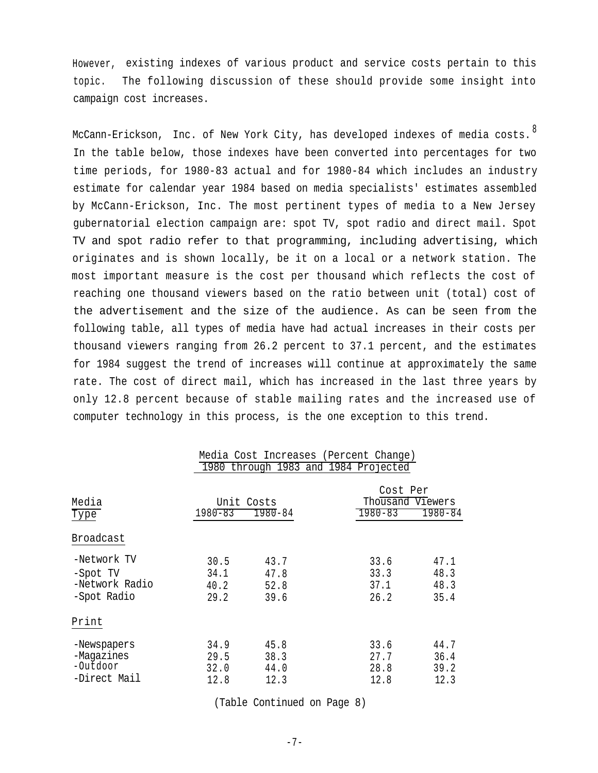However, existing indexes of various product and service costs pertain to this topic. The following discussion of these should provide some insight into campaign cost increases.

McCann-Erickson, Inc. of New York City, has developed indexes of media costs.<sup>8</sup> In the table below, those indexes have been converted into percentages for two time periods, for 1980-83 actual and for 1980-84 which includes an industry estimate for calendar year 1984 based on media specialists' estimates assembled by McCann-Erickson, Inc. The most pertinent types of media to a New Jersey gubernatorial election campaign are: spot TV, spot radio and direct mail. Spot TV and spot radio refer to that programming, including advertising, which originates and is shown locally, be it on a local or a network station. The most important measure is the cost per thousand which reflects the cost of reaching one thousand viewers based on the ratio between unit (total) cost of the advertisement and the size of the audience. As can be seen from the following table, all types of media have had actual increases in their costs per thousand viewers ranging from 26.2 percent to 37.1 percent, and the estimates for 1984 suggest the trend of increases will continue at approximately the same rate. The cost of direct mail, which has increased in the last three years by only 12.8 percent because of stable mailing rates and the increased use of computer technology in this process, is the one exception to this trend.

| Media Cost Increases (Percent Change)<br>1980 through 1983 and 1984 Projected |                              |                              |  |                                             |                              |
|-------------------------------------------------------------------------------|------------------------------|------------------------------|--|---------------------------------------------|------------------------------|
| Media<br>Type                                                                 | $1980 - 83$                  | Unit Costs<br>$1980 - 84$    |  | Cost Per<br>Thousand Viewers<br>$1980 - 83$ | $1980 - 84$                  |
| Broadcast                                                                     |                              |                              |  |                                             |                              |
| -Network TV<br>-Spot TV<br>-Network Radio<br>-Spot Radio                      | 30.5<br>34.1<br>40.2<br>29.2 | 43.7<br>47.8<br>52.8<br>39.6 |  | 33.6<br>33.3<br>37.1<br>26.2                | 47.1<br>48.3<br>48.3<br>35.4 |
| Print                                                                         |                              |                              |  |                                             |                              |
| -Newspapers<br>-Magazines<br>-Outdoor<br>-Direct Mail                         | 34.9<br>29.5<br>32.0<br>12.8 | 45.8<br>38.3<br>44.0<br>12.3 |  | 33.6<br>27.7<br>28.8<br>12.8                | 44.7<br>36.4<br>39.2<br>12.3 |

(Table Continued on Page 8)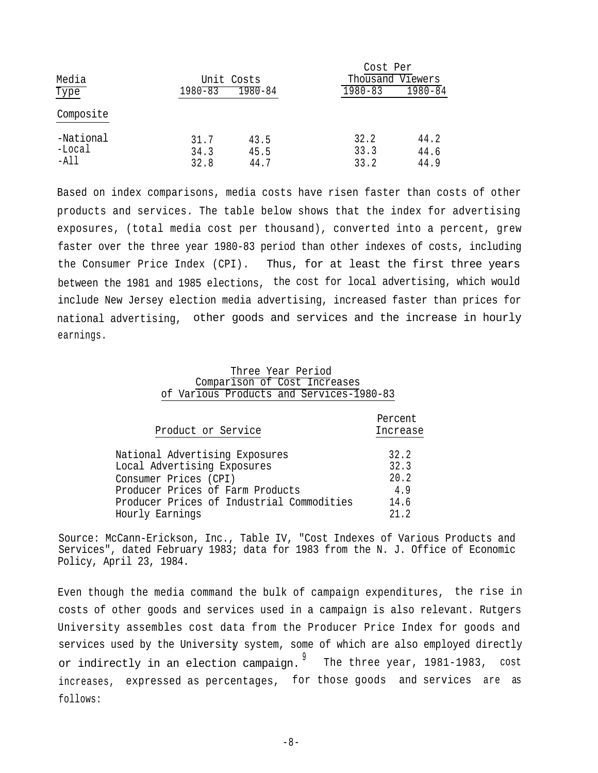|                               |                      |                      | Cost Per             |                      |
|-------------------------------|----------------------|----------------------|----------------------|----------------------|
| Media                         |                      | Unit Costs           | Thousand Viewers     |                      |
| Type                          | $1980 - 83$          | $1980 - 84$          | $1980 - 83$          | $1980 - 84$          |
| Composite                     |                      |                      |                      |                      |
| -National<br>-Local<br>$-A11$ | 31.7<br>34.3<br>32.8 | 43.5<br>45.5<br>44.7 | 32.2<br>33.3<br>33.2 | 44.2<br>44.6<br>44.9 |

Based on index comparisons, media costs have risen faster than costs of other products and services. The table below shows that the index for advertising exposures, (total media cost per thousand), converted into a percent, grew faster over the three year 1980-83 period than other indexes of costs, including the Consumer Price Index (CPI). Thus, for at least the first three years between the 1981 and 1985 elections, the cost for local advertising, which would include New Jersey election media advertising, increased faster than prices for national advertising, other goods and services and the increase in hourly earnings.

# Three Year Period Comparison of Cost Increases of Various Products and Services-1980-83

| Product or Service                        | Percent<br>Increase |
|-------------------------------------------|---------------------|
| National Advertising Exposures            | 32.2                |
| Local Advertising Exposures               | 32.3                |
| Consumer Prices (CPI)                     | 20.2                |
| Producer Prices of Farm Products          | 4.9                 |
| Producer Prices of Industrial Commodities | 14.6                |
| Hourly Earnings                           | 21.2                |
|                                           |                     |

Source: McCann-Erickson, Inc., Table IV, "Cost Indexes of Various Products and Services", dated February 1983; data for 1983 from the N. J. Office of Economic Policy, April 23, 1984.

Even though the media command the bulk of campaign expenditures, the rise in costs of other goods and services used in a campaign is also relevant. Rutgers University assembles cost data from the Producer Price Index for goods and services used by the University system, some of which are also employed directly or indirectly in an election campaign. <sup>9</sup> The three year, 1981-1983, cost increases, expressed as percentages, for those goods and services are as follows:

-8-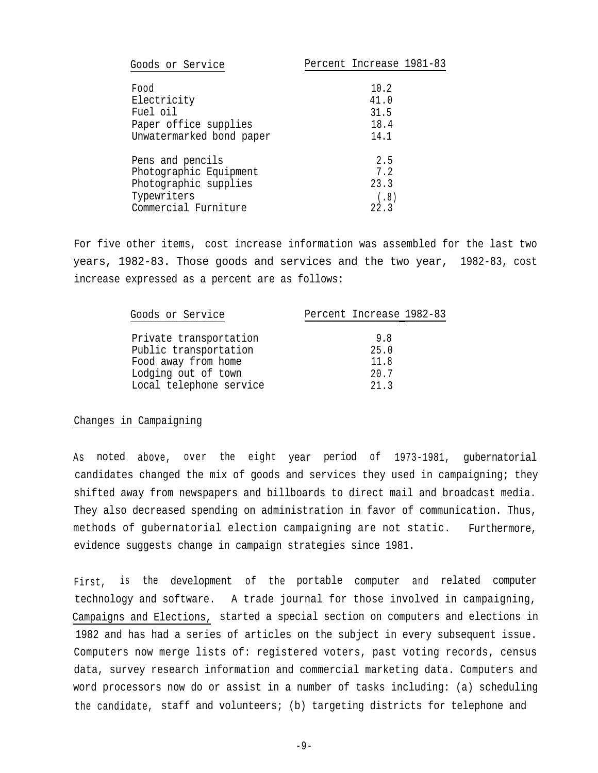| Goods or Service         | Percent Increase 1981-83 |
|--------------------------|--------------------------|
|                          |                          |
| Food                     | 10.2                     |
| Electricity              | 41.0                     |
| Fuel oil                 | 31.5                     |
| Paper office supplies    | 18.4                     |
| Unwatermarked bond paper | 14.1                     |
| Pens and pencils         | 2.5                      |
| Photographic Equipment   | 7.2                      |
| Photographic supplies    | 23.3                     |
| Typewriters              | (.8)                     |
| Commercial Furniture     | 22.3                     |

For five other items, cost increase information was assembled for the last two years, 1982-83. Those goods and services and the two year, 1982-83, cost increase expressed as a percent are as follows:

| Goods or Service        | Percent Increase 1982-83 |
|-------------------------|--------------------------|
|                         |                          |
| Private transportation  | 9.8                      |
| Public transportation   | 25.0                     |
| Food away from home     | 11.8                     |
| Lodging out of town     | 20.7                     |
| Local telephone service | 21.3                     |

#### Changes in Campaigning

As noted above, over the eight year period of 1973-1981, gubernatorial candidates changed the mix of goods and services they used in campaigning; they shifted away from newspapers and billboards to direct mail and broadcast media. They also decreased spending on administration in favor of communication. Thus, methods of gubernatorial election campaigning are not static. evidence suggests change in campaign strategies since 1981. Furthermore,

First, is the development of the portable computer and related computer technology and software. A trade journal for those involved in campaigning, Campaigns and Elections, started a special section on computers and elections in 1982 and has had a series of articles on the subject in every subsequent issue. Computers now merge lists of: registered voters, past voting records, census data, survey research information and commercial marketing data. Computers and word processors now do or assist in a number of tasks including: (a) scheduling the candidate, staff and volunteers; (b) targeting districts for telephone and

 $-9-$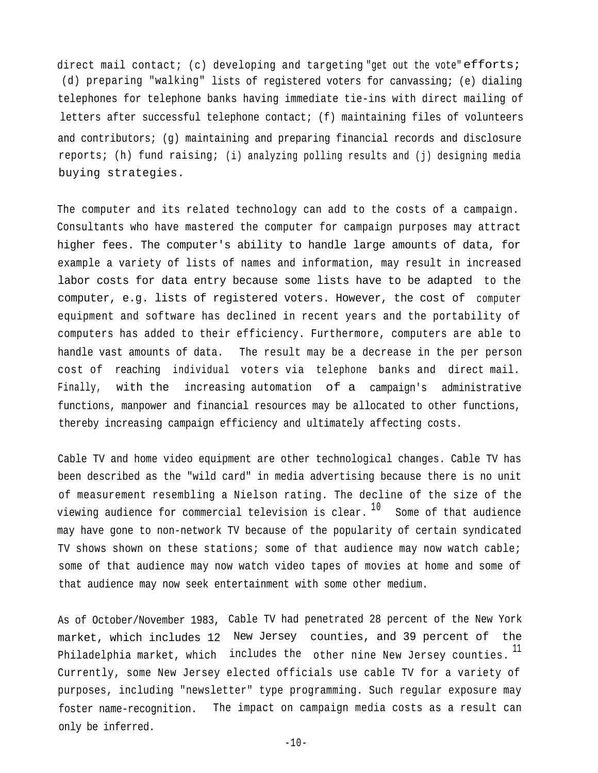direct mail contact; (c) developing and targeting "get out the vote" efforts; (d) preparing "walking" lists of registered voters for canvassing; (e) dialing telephones for telephone banks having immediate tie-ins with direct mailing of letters after successful telephone contact; (f) maintaining files of volunteers and contributors; (g) maintaining and preparing financial records and disclosure reports; (h) fund raising; (i) analyzing polling results and (j) designing media buying strategies. .

The computer and its related technology can add to the costs of a campaign. Consultants who have mastered the computer for campaign purposes may attract higher fees. The computer's ability to handle large amounts of data, for example a variety of lists of names and information, may result in increased labor costs for data entry because some lists have to be adapted to the computer, e.g. lists of registered voters. However, the cost of computer equipment and software has declined in recent years and the portability of computers has added to their efficiency. Furthermore, computers are able to handle vast amounts of data. The result may be a decrease in the per person cost of reaching individual voters via telephone banks and direct mail. Finally, with the increasing automation of a campaign's administrative functions, manpower and financial resources may be allocated to other functions, thereby increasing campaign efficiency and ultimately affecting costs.

Cable TV and home video equipment are other technological changes. Cable TV has been described as the "wild card" in media advertising because there is no unit of measurement resembling a Nielson rating. The decline of the size of the viewing audience for commercial television is clear.  $10$  Some of that audience may have gone to non-network TV because of the popularity of certain syndicated TV shows shown on these stations; some of that audience may now watch cable; some of that audience may now watch video tapes of movies at home and some of that audience may now seek entertainment with some other medium.

As of October/November 1983, Cable TV had penetrated 28 percent of the New York market, which includes 12 New Jersey counties, and 39 percent of the Philadelphia market, which  $\,$  includes the  $\,$  other nine New Jersey counties.  $^{11}$ Currently, some New Jersey elected officials use cable TV for a variety of purposes, including "newsletter" type programming. Such regular exposure may foster name-recognition. The impact on campaign media costs as a result can only be inferred.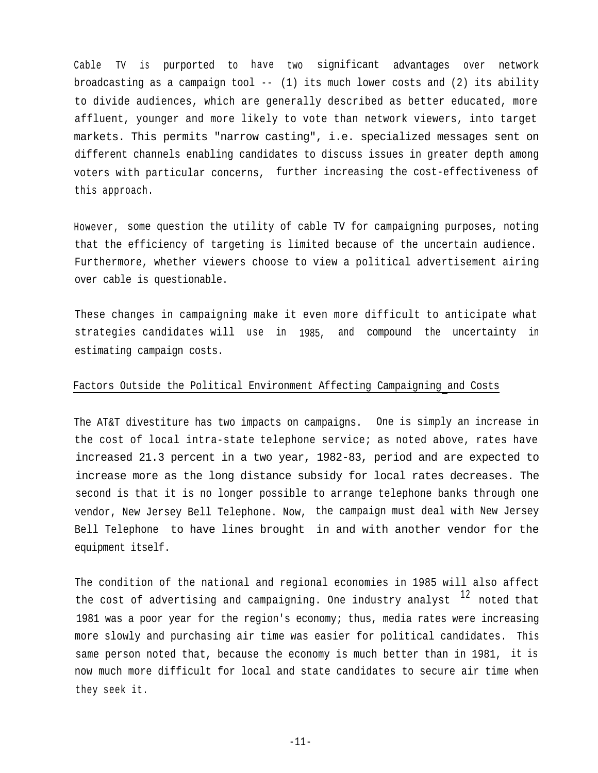Cable TV is purported to have two significant advantages over network broadcasting as a campaign tool -- (1) its much lower costs and (2) its ability to divide audiences, which are generally described as better educated, more affluent, younger and more likely to vote than network viewers, into target markets. This permits "narrow casting", i.e. specialized messages sent on different channels enabling candidates to discuss issues in greater depth among voters with particular concerns, further increasing the cost-effectiveness of this approach.

However, some question the utility of cable TV for campaigning purposes, noting that the efficiency of targeting is limited because of the uncertain audience. Furthermore, whether viewers choose to view a political advertisement airing over cable is questionable.

These changes in campaigning make it even more difficult to anticipate what strategies candidates will use in 1985, and compound the uncertainty in estimating campaign costs.

# Factors Outside the Political Environment Affecting Campaigning and Costs

The AT&T divestiture has two impacts on campaigns. One is simply an increase in the cost of local intra-state telephone service; as noted above, rates have increased 21.3 percent in a two year, 1982-83, period and are expected to increase more as the long distance subsidy for local rates decreases. The second is that it is no longer possible to arrange telephone banks through one vendor, New Jersey Bell Telephone. Now, the campaign must deal with New Jersey Bell Telephone to have lines brought in and with another vendor for the equipment itself.

The condition of the national and regional economies in 1985 will also affect the cost of advertising and campaigning. One industry analyst  $12$  noted that 1981 was a poor year for the region's economy; thus, media rates were increasing more slowly and purchasing air time was easier for political candidates. This same person noted that, because the economy is much better than in 1981, it is now much more difficult for local and state candidates to secure air time when they seek it.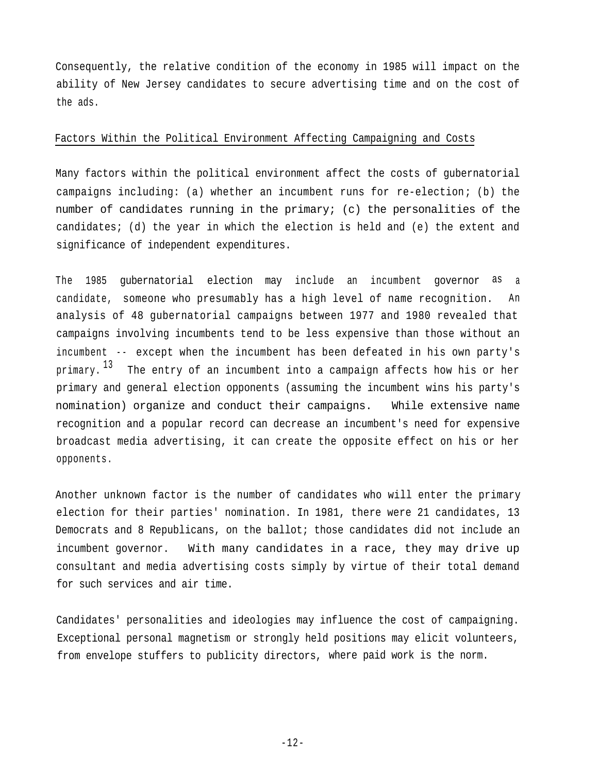Consequently, the relative condition of the economy in 1985 will impact on the ability of New Jersey candidates to secure advertising time and on the cost of the ads.

## Factors Within the Political Environment Affecting Campaigning and Costs

Many factors within the political environment affect the costs of gubernatorial campaigns including: (a) whether an incumbent runs for re-election; (b) the number of candidates running in the primary; (c) the personalities of the candidates; (d) the year in which the election is held and (e) the extent and significance of independent expenditures.

The 1985 gubernatorial election may include an incumbent governor as a candidate, someone who presumably has a high level of name recognition. An analysis of 48 gubernatorial campaigns between 1977 and 1980 revealed that campaigns involving incumbents tend to be less expensive than those without an incumbent -- except when the incumbent has been defeated in his own party's primary. $^{13}$  . The entry of an incumbent into a campaign affects how his or her primary and general election opponents (assuming the incumbent wins his party's nomination) organize and conduct their campaigns. While extensive name recognition and a popular record can decrease an incumbent's need for expensive broadcast media advertising, it can create the opposite effect on his or her opponents.

Another unknown factor is the number of candidates who will enter the primary election for their parties' nomination. In 1981, there were 21 candidates, 13 Democrats and 8 Republicans, on the ballot; those candidates did not include an incumbent governor. With many candidates in a race, they may drive up consultant and media advertising costs simply by virtue of their total demand for such services and air time.

Candidates' personalities and ideologies may influence the cost of campaigning. Exceptional personal magnetism or strongly held positions may elicit volunteers, from envelope stuffers to publicity directors, where paid work is the norm.

 $-12-$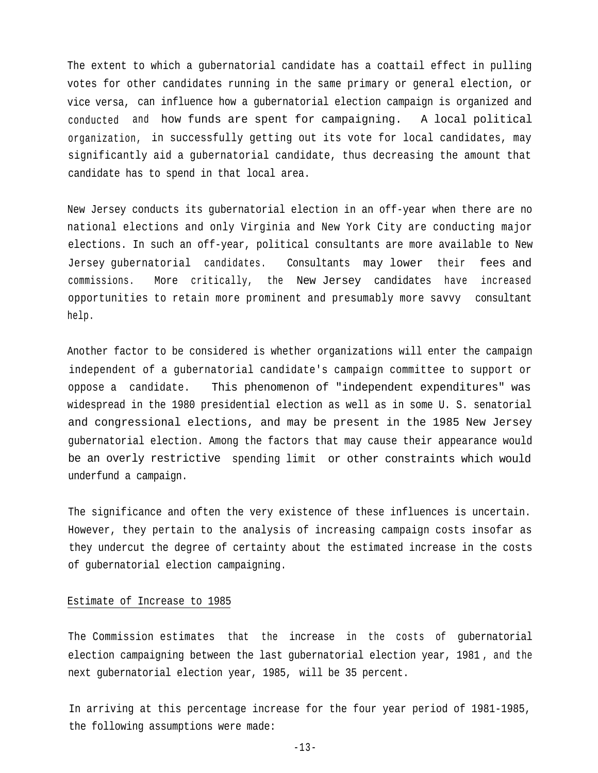The extent to which a gubernatorial candidate has a coattail effect in pulling votes for other candidates running in the same primary or general election, or vice versa, can influence how a gubernatorial election campaign is organized and conducted and how funds are spent for campaigning. A local political organization, in successfully getting out its vote for local candidates, may significantly aid a gubernatorial candidate, thus decreasing the amount that candidate has to spend in that local area.

New Jersey conducts its gubernatorial election in an off-year when there are no national elections and only Virginia and New York City are conducting major elections. In such an off-year, political consultants are more available to New Jersey gubernatorial candidates. Consultants may lower their fees and commissions. More critically, the New Jersey candidates have increased opportunities to retain more prominent and presumably more savvy consultant help.

Another factor to be considered is whether organizations will enter the campaign independent of a gubernatorial candidate's campaign committee to support or oppose a candidate. This phenomenon of "independent expenditures" was widespread in the 1980 presidential election as well as in some U. S. senatorial and congressional elections, and may be present in the 1985 New Jersey gubernatorial election. Among the factors that may cause their appearance would be an overly restrictive spending limit or other constraints which would underfund a campaign.

The significance and often the very existence of these influences is uncertain. However, they pertain to the analysis of increasing campaign costs insofar as they undercut the degree of certainty about the estimated increase in the costs of gubernatorial election campaigning.

# Estimate of Increase to 1985

The Commission estimates that the increase in the costs of gubernatorial election campaigning between the last gubernatorial election year, 1981 , and the next gubernatorial election year, 1985, will be 35 percent.

In arriving at this percentage increase for the four year period of 1981-1985, the following assumptions were made: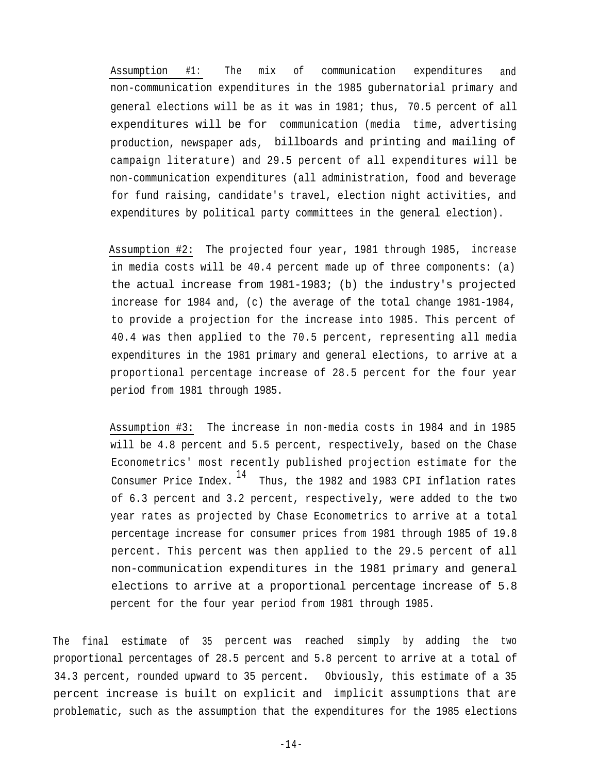Assumption #1: The mix of communication expenditures and non-communication expenditures in the 1985 gubernatorial primary and general elections will be as it was in 1981; thus, 70.5 percent of all expenditures will be for communication (media time, advertising production, newspaper ads, billboards and printing and mailing of campaign literature) and 29.5 percent of all expenditures will be non-communication expenditures (all administration, food and beverage for fund raising, candidate's travel, election night activities, and expenditures by political party committees in the general election).

Assumption #2: The projected four year, 1981 through 1985, increase in media costs will be 40.4 percent made up of three components: (a) the actual increase from 1981-1983; (b) the industry's projected increase for 1984 and, (c) the average of the total change 1981-1984, to provide a projection for the increase into 1985. This percent of 40.4 was then applied to the 70.5 percent, representing all media expenditures in the 1981 primary and general elections, to arrive at a proportional percentage increase of 28.5 percent for the four year period from 1981 through 1985.

Assumption #3: The increase in non-media costs in 1984 and in 1985 will be 4.8 percent and 5.5 percent, respectively, based on the Chase Econometrics' most recently published projection estimate for the Consumer Price Index.  $14$  Thus, the 1982 and 1983 CPI inflation rates of 6.3 percent and 3.2 percent, respectively, were added to the two year rates as projected by Chase Econometrics to arrive at a total percentage increase for consumer prices from 1981 through 1985 of 19.8 percent. This percent was then applied to the 29.5 percent of all non-communication expenditures in the 1981 primary and general elections to arrive at a proportional percentage increase of 5.8 percent for the four year period from 1981 through 1985.

The final estimate of 35 percent was reached simply by adding the two proportional percentages of 28.5 percent and 5.8 percent to arrive at a total of 34.3 percent, rounded upward to 35 percent. Obviously, this estimate of a 35 percent increase is built on explicit and implicit assumptions that are problematic, such as the assumption that the expenditures for the 1985 elections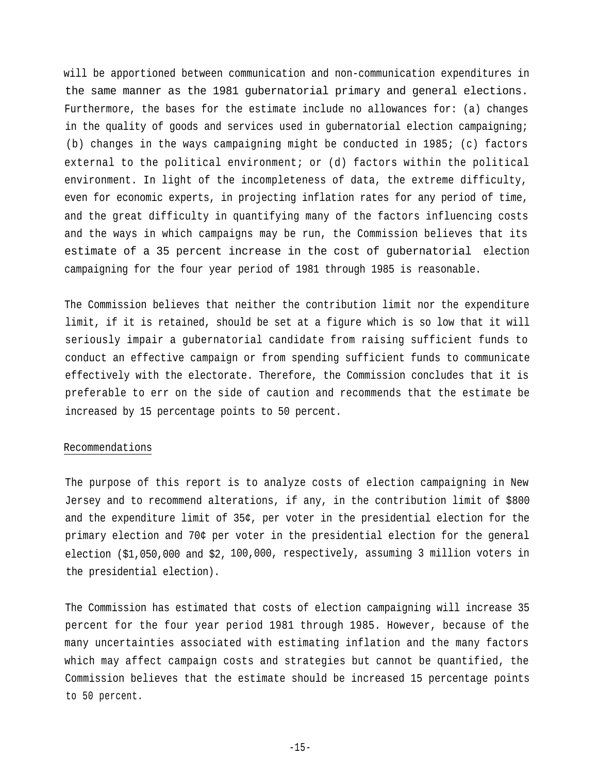will be apportioned between communication and non-communication expenditures in the same manner as the 1981 gubernatorial primary and general elections. Furthermore, the bases for the estimate include no allowances for: (a) changes in the quality of goods and services used in gubernatorial election campaigning; (b) changes in the ways campaigning might be conducted in 1985; (c) factors external to the political environment; or (d) factors within the political environment. In light of the incompleteness of data, the extreme difficulty, even for economic experts, in projecting inflation rates for any period of time, and the great difficulty in quantifying many of the factors influencing costs and the ways in which campaigns may be run, the Commission believes that its estimate of a 35 percent increase in the cost of gubernatorial election campaigning for the four year period of 1981 through 1985 is reasonable.

The Commission believes that neither the contribution limit nor the expenditure limit, if it is retained, should be set at a figure which is so low that it will seriously impair a gubernatorial candidate from raising sufficient funds to conduct an effective campaign or from spending sufficient funds to communicate effectively with the electorate. Therefore, the Commission concludes that it is preferable to err on the side of caution and recommends that the estimate be increased by 15 percentage points to 50 percent.

# Recommendations

The purpose of this report is to analyze costs of election campaigning in New Jersey and to recommend alterations, if any, in the contribution limit of \$800 and the expenditure limit of 35¢, per voter in the presidential election for the primary election and 70¢ per voter in the presidential election for the general election (\$1,050,000 and \$2, 100,000, respectively, assuming 3 million voters in the presidential election).

The Commission has estimated that costs of election campaigning will increase 35 percent for the four year period 1981 through 1985. However, because of the many uncertainties associated with estimating inflation and the many factors which may affect campaign costs and strategies but cannot be quantified, the Commission believes that the estimate should be increased 15 percentage points to 50 percent.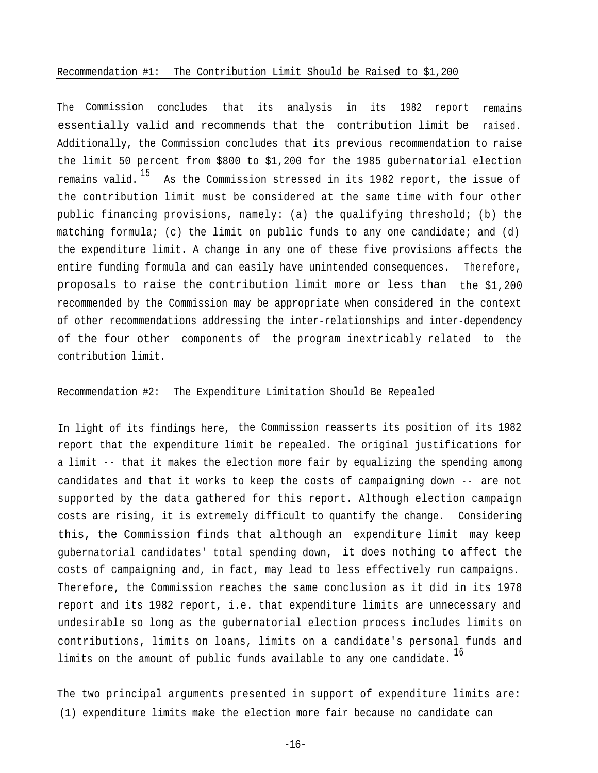#### Recommendation #1: The Contribution Limit Should be Raised to \$1,200

The Commission concludes that its analysis in its 1982 report remains essentially valid and recommends that the contribution limit be raised. Additionally, the Commission concludes that its previous recommendation to raise the limit 50 percent from \$800 to \$1,200 for the 1985 gubernatorial election remains valid.  $15$  As the Commission stressed in its 1982 report, the issue of the contribution limit must be considered at the same time with four other public financing provisions, namely: (a) the qualifying threshold; (b) the matching formula; (c) the limit on public funds to any one candidate; and (d) the expenditure limit. A change in any one of these five provisions affects the entire funding formula and can easily have unintended consequences. proposals to raise the contribution limit more or less than the \$1,200 Therefore, recommended by the Commission may be appropriate when considered in the context of other recommendations addressing the inter-relationships and inter-dependency of the four other components of the program inextricably related to the contribution limit.

# Recommendation #2: The Expenditure Limitation Should Be Repealed

In light of its findings here, the Commission reasserts its position of its 1982 report that the expenditure limit be repealed. The original justifications for a limit - - that it makes the election more fair by equalizing the spending among candidates and that it works to keep the costs of campaigning down -- are not supported by the data gathered for this report. Although election campaign costs are rising, it is extremely difficult to quantify the change. Considering this, the Commission finds that although an expenditure limit may keep gubernatorial candidates' total spending down, it does nothing to affect the costs of campaigning and, in fact, may lead to less effectively run campaigns. Therefore, the Commission reaches the same conclusion as it did in its 1978 report and its 1982 report, i.e. that expenditure limits are unnecessary and undesirable so long as the gubernatorial election process includes limits on contributions, limits on loans, limits on a candidate's personal funds and limits on the amount of public funds available to any one candidate.  $^{16}$ 

The two principal arguments presented in support of expenditure limits are: (1) expenditure limits make the election more fair because no candidate can

-16-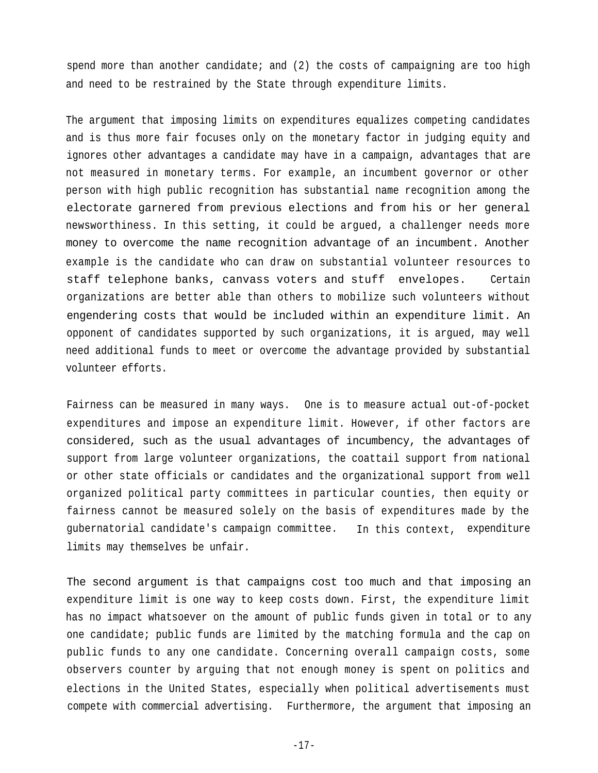spend more than another candidate; and (2) the costs of campaigning are too high and need to be restrained by the State through expenditure limits.

The argument that imposing limits on expenditures equalizes competing candidates and is thus more fair focuses only on the monetary factor in judging equity and ignores other advantages a candidate may have in a campaign, advantages that are not measured in monetary terms. For example, an incumbent governor or other person with high public recognition has substantial name recognition among the electorate garnered from previous elections and from his or her general newsworthiness. In this setting, it could be argued, a challenger needs more money to overcome the name recognition advantage of an incumbent. Another example is the candidate who can draw on substantial volunteer resources to staff telephone banks, canvass voters and stuff envelopes. Certain organizations are better able than others to mobilize such volunteers without engendering costs that would be included within an expenditure limit. An opponent of candidates supported by such organizations, it is argued, may well need additional funds to meet or overcome the advantage provided by substantial volunteer efforts.

Fairness can be measured in many ways. One is to measure actual out-of-pocket expenditures and impose an expenditure limit. However, if other factors are considered, such as the usual advantages of incumbency, the advantages of support from large volunteer organizations, the coattail support from national or other state officials or candidates and the organizational support from well organized political party committees in particular counties, then equity or fairness cannot be measured solely on the basis of expenditures made by the gubernatorial candidate's campaign committee. In this context, expenditure limits may themselves be unfair.

The second argument is that campaigns cost too much and that imposing an expenditure limit is one way to keep costs down. First, the expenditure limit has no impact whatsoever on the amount of public funds given in total or to any one candidate; public funds are limited by the matching formula and the cap on public funds to any one candidate. Concerning overall campaign costs, some observers counter by arguing that not enough money is spent on politics and elections in the United States, especially when political advertisements must compete with commercial advertising. Furthermore, the argument that imposing an

-17-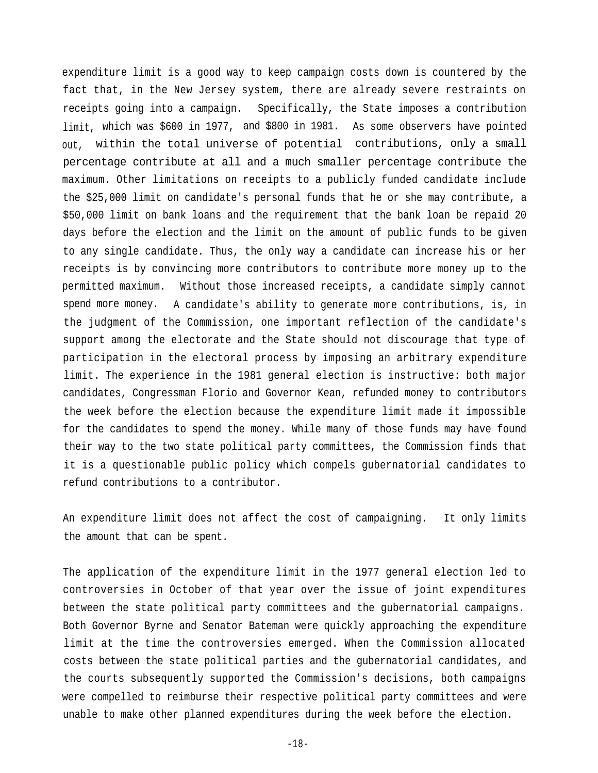expenditure limit is a good way to keep campaign costs down is countered by the fact that, in the New Jersey system, there are already severe restraints on receipts going into a campaign. Specifically, the State imposes a contribution limit, which was \$600 in 1977, and \$800 in 1981. As some observers have pointed out, within the total universe of potential contributions, only a small percentage contribute at all and a much smaller percentage contribute the maximum. Other limitations on receipts to a publicly funded candidate include the \$25,000 limit on candidate's personal funds that he or she may contribute, a \$50,000 limit on bank loans and the requirement that the bank loan be repaid 20 days before the election and the limit on the amount of public funds to be given to any single candidate. Thus, the only way a candidate can increase his or her receipts is by convincing more contributors to contribute more money up to the permitted maximum. Without those increased receipts, a candidate simply cannot spend more money. A candidate's ability to generate more contributions, is, in the judgment of the Commission, one important reflection of the candidate's support among the electorate and the State should not discourage that type of participation in the electoral process by imposing an arbitrary expenditure limit. The experience in the 1981 general election is instructive: both major candidates, Congressman Florio and Governor Kean, refunded money to contributors the week before the election because the expenditure limit made it impossible for the candidates to spend the money. While many of those funds may have found their way to the two state political party committees, the Commission finds that it is a questionable public policy which compels gubernatorial candidates to refund contributions to a contributor.

An expenditure limit does not affect the cost of campaigning. It only limits the amount that can be spent.

The application of the expenditure limit in the 1977 general election led to controversies in October of that year over the issue of joint expenditures between the state political party committees and the gubernatorial campaigns. Both Governor Byrne and Senator Bateman were quickly approaching the expenditure limit at the time the controversies emerged. When the Commission allocated costs between the state political parties and the gubernatorial candidates, and the courts subsequently supported the Commission's decisions, both campaigns were compelled to reimburse their respective political party committees and were unable to make other planned expenditures during the week before the election.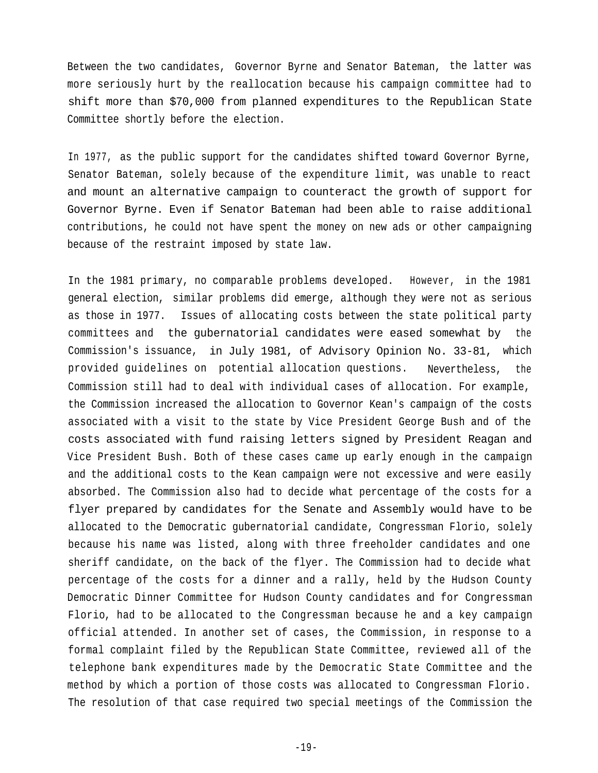Between the two candidates, Governor Byrne and Senator Bateman, the latter was more seriously hurt by the reallocation because his campaign committee had to shift more than \$70,000 from planned expenditures to the Republican State Committee shortly before the election.

In 1977, as the public support for the candidates shifted toward Governor Byrne, Senator Bateman, solely because of the expenditure limit, was unable to react and mount an alternative campaign to counteract the growth of support for Governor Byrne. Even if Senator Bateman had been able to raise additional contributions, he could not have spent the money on new ads or other campaigning because of the restraint imposed by state law.

In the 1981 primary, no comparable problems developed. However, in the 1981 general election, similar problems did emerge, although they were not as serious as those in 1977. Issues of allocating costs between the state political party committees and the gubernatorial candidates were eased somewhat by the Commission's issuance, in July 1981, of Advisory Opinion No. 33-81, which provided guidelines on potential allocation questions. Nevertheless, the Commission still had to deal with individual cases of allocation. For example, the Commission increased the allocation to Governor Kean's campaign of the costs associated with a visit to the state by Vice President George Bush and of the costs associated with fund raising letters signed by President Reagan and Vice President Bush. Both of these cases came up early enough in the campaign and the additional costs to the Kean campaign were not excessive and were easily absorbed. The Commission also had to decide what percentage of the costs for a flyer prepared by candidates for the Senate and Assembly would have to be allocated to the Democratic gubernatorial candidate, Congressman Florio, solely because his name was listed, along with three freeholder candidates and one sheriff candidate, on the back of the flyer. The Commission had to decide what percentage of the costs for a dinner and a rally, held by the Hudson County Democratic Dinner Committee for Hudson County candidates and for Congressman Florio, had to be allocated to the Congressman because he and a key campaign official attended. In another set of cases, the Commission, in response to a formal complaint filed by the Republican State Committee, reviewed all of the telephone bank expenditures made by the Democratic State Committee and the method by which a portion of those costs was allocated to Congressman Florio. The resolution of that case required two special meetings of the Commission the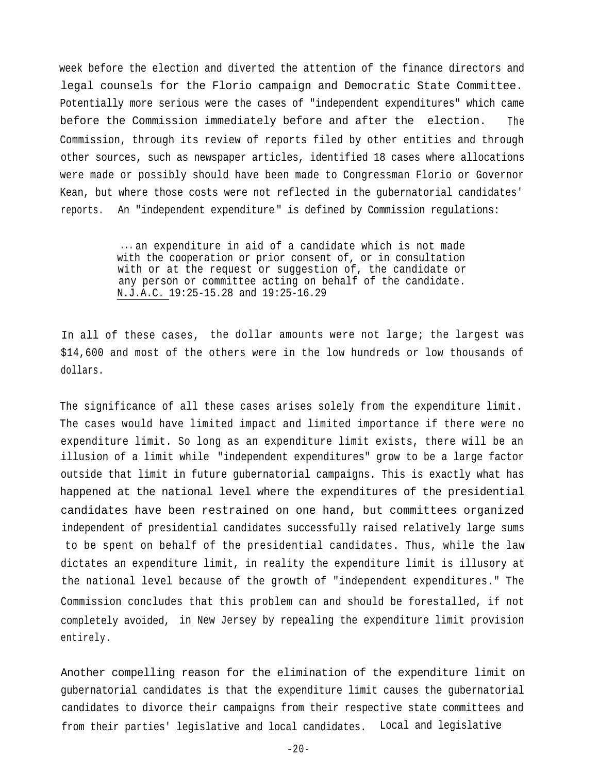week before the election and diverted the attention of the finance directors and legal counsels for the Florio campaign and Democratic State Committee. Potentially more serious were the cases of "independent expenditures" which came before the Commission immediately before and after the election. The Commission, through its review of reports filed by other entities and through other sources, such as newspaper articles, identified 18 cases where allocations were made or possibly should have been made to Congressman Florio or Governor Kean, but where those costs were not reflected in the gubernatorial candidates' reports. An "independent expenditure" is defined by Commission regulations:

> ... an expenditure in aid of a candidate which is not made with the cooperation or prior consent of, or in consultation with or at the request or suggestion of, the candidate or any person or committee acting on behalf of the candidate. N.J.A.C. 19:25-15.28 and 19:25-16.29

In all of these cases, the dollar amounts were not large; the largest was \$14,600 and most of the others were in the low hundreds or low thousands of dollars.

The significance of all these cases arises solely from the expenditure limit. The cases would have limited impact and limited importance if there were no expenditure limit. So long as an expenditure limit exists, there will be an illusion of a limit while "independent expenditures" grow to be a large factor outside that limit in future gubernatorial campaigns. This is exactly what has happened at the national level where the expenditures of the presidential candidates have been restrained on one hand, but committees organized independent of presidential candidates successfully raised relatively large sums to be spent on behalf of the presidential candidates. Thus, while the law dictates an expenditure limit, in reality the expenditure limit is illusory at the national level because of the growth of "independent expenditures." The Commission concludes that this problem can and should be forestalled, if not completely avoided, in New Jersey by repealing the expenditure limit provision entirely.

Another compelling reason for the elimination of the expenditure limit on gubernatorial candidates is that the expenditure limit causes the gubernatorial candidates to divorce their campaigns from their respective state committees and from their parties' legislative and local candidates. Local and legislative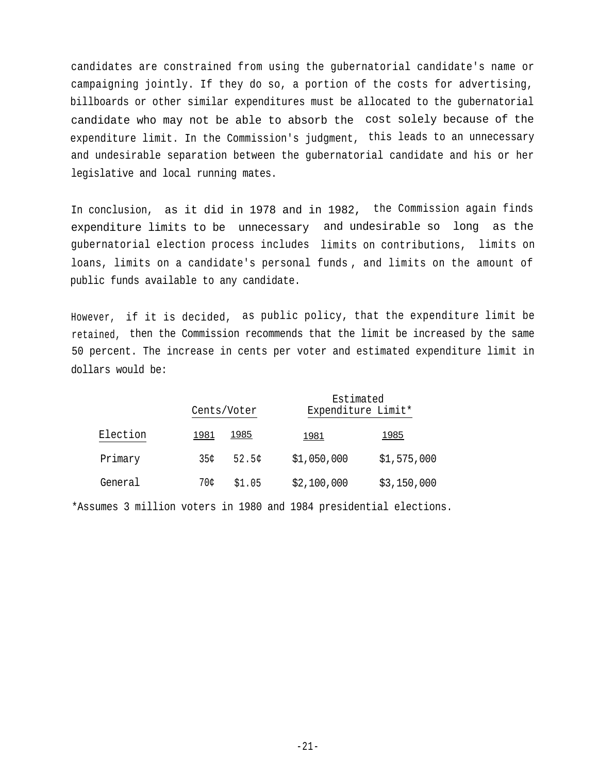candidates are constrained from using the gubernatorial candidate's name or campaigning jointly. If they do so, a portion of the costs for advertising, billboards or other similar expenditures must be allocated to the gubernatorial candidate who may not be able to absorb the cost solely because of the expenditure limit. In the Commission's judgment, this leads to an unnecessary and undesirable separation between the gubernatorial candidate and his or her legislative and local running mates.

In conclusion, as it did in 1978 and in 1982, the Commission again finds expenditure limits to be unnecessary and undesirable so long as the gubernatorial election process includes limits on contributions, limits on loans, limits on a candidate's personal funds , and limits on the amount of public funds available to any candidate.

However, if it is decided, as public policy, that the expenditure limit be retained, then the Commission recommends that the limit be increased by the same 50 percent. The increase in cents per voter and estimated expenditure limit in dollars would be:

|          |      | Cents/Voter | Estimated<br>Expenditure Limit* |             |
|----------|------|-------------|---------------------------------|-------------|
| Election | 1981 | 1985        | 1981                            | 1985        |
| Primary  | 35¢  | 52.5c       | \$1,050,000                     | \$1,575,000 |
| General  | 70¢  | \$1.05      | \$2,100,000                     | \$3,150,000 |

\*Assumes 3 million voters in 1980 and 1984 presidential elections.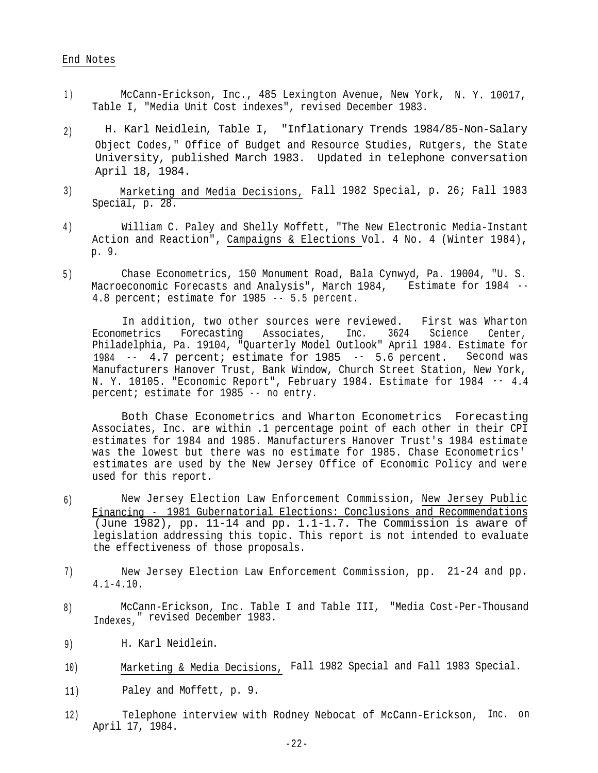#### End Notes

- 1) McCann-Erickson, Inc., 485 Lexington Avenue, New York, N. Y. 10017, Table I, "Media Unit Cost indexes", revised December 1983.
- 2) H. Karl Neidlein, Table I, "Inflationary Trends 1984/85-Non-Salary Object Codes," Office of Budget and Resource Studies, Rutgers, the State University, published March 1983. Updated in telephone conversation April 18, 1984.
- 3) Marketing and Media Decisions, Fall 1982 Special, p. 26; Fall 1983 Special, p. 28.
- William C. Paley and Shelly Moffett, "The New Electronic Media-Instant Action and Reaction", Campaigns & Elections Vol. 4 No. 4 (Winter 1984), p. 9. 4 )
- Chase Econometrics, 150 Monument Road, Bala Cynwyd, Pa. 19004, "U. S. Macroeconomic Forecasts and Analysis", March 1984, Estimate for 1984 --5 ) 4.8 percent; estimate for 1985 -- 5.5 percent.

First was Wharton 3624 Science In addition, two other sources were reviewed. Econometrics Forecasting Associates, Inc. 3624 Science Center, Philadelphia, Pa. 19104, "Quarterly Model Outlook" April 1984. Estimate for 1984 -- 4.7 percent; estimate for 1985 -- 5.6 percent. Second was Manufacturers Hanover Trust, Bank Window, Church Street Station, New York, N. Y. 10105. "Economic Report", February 1984. Estimate for 1984 -- 4.4 percent; estimate for 1985 -- no entry.

Both Chase Econometrics and Wharton Econometrics Forecasting Associates, Inc. are within .1 percentage point of each other in their CPI estimates for 1984 and 1985. Manufacturers Hanover Trust's 1984 estimate was the lowest but there was no estimate for 1985. Chase Econometrics' estimates are used by the New Jersey Office of Economic Policy and were used for this report.

- 6) New Jersey Election Law Enforcement Commission, New Jersey Public Financing - 1981 Gubernatorial Elections: Conclusions and Recommendations (June 1982), pp. 11-14 and pp. 1.1-1.7. The Commission is aware of legislation addressing this topic. This report is not intended to evaluate the effectiveness of those proposals.
- New Jersey Election Law Enforcement Commission, pp. 21-24 and pp. 4.1-4.10. 7)
- McCann-Erickson, Inc. Table I and Table III, 8) "Media Cost-Per-Thousand Indexes," revised December 1983.
- 9) H. Karl Neidlein.
- 10) Marketing & Media Decisions, Fall 1982 Special and Fall 1983 Special.
- 11) Paley and Moffett, p. 9.
- 12) Telephone interview with Rodney Nebocat of McCann-Erickson, Inc. on April 17, 1984.